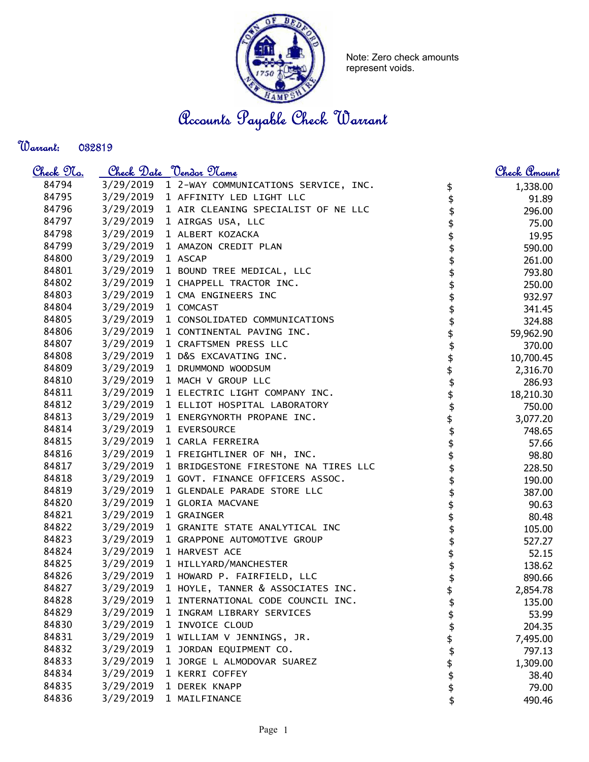

Note: Zero check amounts represent voids.

Accounts Payable Check Warrant

## Warrant:

| <u>Check 97a.</u> |           | <u>Check Date "Vendor Mame</u>                 |          | <u>Check Amount</u> |
|-------------------|-----------|------------------------------------------------|----------|---------------------|
| 84794             |           | 3/29/2019 1 2-WAY COMMUNICATIONS SERVICE, INC. | \$       | 1,338.00            |
| 84795             |           | 3/29/2019 1 AFFINITY LED LIGHT LLC             | \$       | 91.89               |
| 84796             |           | 3/29/2019 1 AIR CLEANING SPECIALIST OF NE LLC  | \$       | 296.00              |
| 84797             | 3/29/2019 | 1 AIRGAS USA, LLC                              |          | 75.00               |
| 84798             | 3/29/2019 | 1 ALBERT KOZACKA                               |          | 19.95               |
| 84799             | 3/29/2019 | 1 AMAZON CREDIT PLAN                           |          | 590.00              |
| 84800             | 3/29/2019 | 1 ASCAP                                        |          | 261.00              |
| 84801             | 3/29/2019 | 1 BOUND TREE MEDICAL, LLC                      |          | 793.80              |
| 84802             | 3/29/2019 | 1 CHAPPELL TRACTOR INC.                        |          | 250.00              |
| 84803             | 3/29/2019 | 1 CMA ENGINEERS INC                            |          | 932.97              |
| 84804             | 3/29/2019 | 1 COMCAST                                      |          | 341.45              |
| 84805             | 3/29/2019 | 1 CONSOLIDATED COMMUNICATIONS                  |          | 324.88              |
| 84806             | 3/29/2019 | 1 CONTINENTAL PAVING INC.                      |          | 59,962.90           |
| 84807             | 3/29/2019 | 1 CRAFTSMEN PRESS LLC                          |          | 370.00              |
| 84808             | 3/29/2019 | 1 D&S EXCAVATING INC.                          |          | 10,700.45           |
| 84809             | 3/29/2019 | 1 DRUMMOND WOODSUM                             |          | 2,316.70            |
| 84810             | 3/29/2019 | 1 MACH V GROUP LLC                             | \$       | 286.93              |
| 84811             |           | 3/29/2019 1 ELECTRIC LIGHT COMPANY INC.        | \$       | 18,210.30           |
| 84812             |           | 3/29/2019 1 ELLIOT HOSPITAL LABORATORY         | \$       | 750.00              |
| 84813             |           | 3/29/2019 1 ENERGYNORTH PROPANE INC.           | \$       | 3,077.20            |
| 84814             |           | 3/29/2019 1 EVERSOURCE                         |          | 748.65              |
| 84815             | 3/29/2019 | 1 CARLA FERREIRA                               | \$\$\$   | 57.66               |
| 84816             | 3/29/2019 | 1 FREIGHTLINER OF NH, INC.                     |          | 98.80               |
| 84817             | 3/29/2019 | 1 BRIDGESTONE FIRESTONE NA TIRES LLC           |          | 228.50              |
| 84818             | 3/29/2019 | 1 GOVT. FINANCE OFFICERS ASSOC.                |          | 190.00              |
| 84819             | 3/29/2019 | 1 GLENDALE PARADE STORE LLC                    |          | 387.00              |
| 84820             | 3/29/2019 | 1 GLORIA MACVANE                               |          | 90.63               |
| 84821             | 3/29/2019 | 1 GRAINGER                                     |          | 80.48               |
| 84822             | 3/29/2019 | 1 GRANITE STATE ANALYTICAL INC                 |          | 105.00              |
| 84823             | 3/29/2019 | 1 GRAPPONE AUTOMOTIVE GROUP                    |          | 527.27              |
| 84824             | 3/29/2019 | 1 HARVEST ACE                                  |          | 52.15               |
| 84825             | 3/29/2019 | 1 HILLYARD/MANCHESTER                          |          | 138.62              |
| 84826             | 3/29/2019 | 1 HOWARD P. FAIRFIELD, LLC                     |          | 890.66              |
| 84827             | 3/29/2019 | 1 HOYLE, TANNER & ASSOCIATES INC.              |          | 2,854.78            |
| 84828             | 3/29/2019 | 1 INTERNATIONAL CODE COUNCIL INC.              | \$       | 135.00              |
| 84829             | 3/29/2019 | 1 INGRAM LIBRARY SERVICES                      | \$       | 53.99               |
| 84830             | 3/29/2019 | 1 INVOICE CLOUD                                | \$       | 204.35              |
| 84831             | 3/29/2019 | 1 WILLIAM V JENNINGS, JR.                      | \$       | 7,495.00            |
| 84832             | 3/29/2019 | 1 JORDAN EQUIPMENT CO.                         | \$       | 797.13              |
| 84833             | 3/29/2019 | 1 JORGE L ALMODOVAR SUAREZ                     |          | 1,309.00            |
| 84834             | 3/29/2019 | 1 KERRI COFFEY                                 | \$<br>\$ | 38.40               |
| 84835             | 3/29/2019 | 1 DEREK KNAPP                                  | \$       | 79.00               |
| 84836             | 3/29/2019 | 1 MAILFINANCE                                  | \$       | 490.46              |